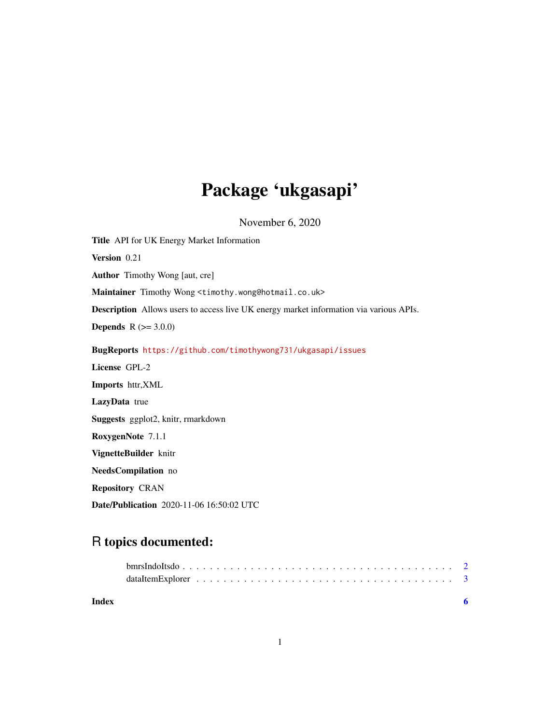## Package 'ukgasapi'

November 6, 2020

Title API for UK Energy Market Information Version 0.21 Author Timothy Wong [aut, cre] Maintainer Timothy Wong <timothy.wong@hotmail.co.uk> Description Allows users to access live UK energy market information via various APIs. **Depends** R  $(>= 3.0.0)$ BugReports <https://github.com/timothywong731/ukgasapi/issues> License GPL-2 Imports httr,XML LazyData true Suggests ggplot2, knitr, rmarkdown RoxygenNote 7.1.1 VignetteBuilder knitr NeedsCompilation no Repository CRAN Date/Publication 2020-11-06 16:50:02 UTC

### R topics documented:

| Index |  |
|-------|--|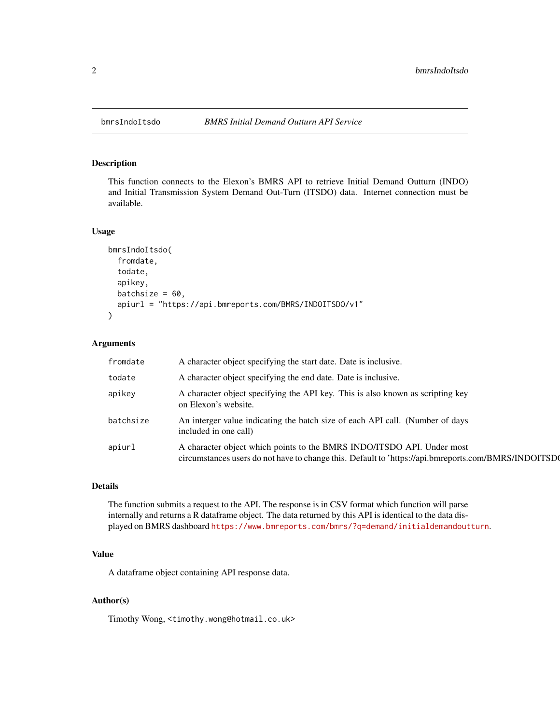<span id="page-1-0"></span>

#### Description

This function connects to the Elexon's BMRS API to retrieve Initial Demand Outturn (INDO) and Initial Transmission System Demand Out-Turn (ITSDO) data. Internet connection must be available.

#### Usage

```
bmrsIndoItsdo(
  fromdate,
  todate,
  apikey,
  batchsize = 60,
  apiurl = "https://api.bmreports.com/BMRS/INDOITSDO/v1"
)
```
#### Arguments

| fromdate  | A character object specifying the start date. Date is inclusive.                                                                                                              |
|-----------|-------------------------------------------------------------------------------------------------------------------------------------------------------------------------------|
| todate    | A character object specifying the end date. Date is inclusive.                                                                                                                |
| apikey    | A character object specifying the API key. This is also known as scripting key<br>on Elexon's website.                                                                        |
| batchsize | An interger value indicating the batch size of each API call. (Number of days<br>included in one call)                                                                        |
| apiurl    | A character object which points to the BMRS INDO/ITSDO API. Under most<br>circumstances users do not have to change this. Default to 'https://api.bmreports.com/BMRS/INDOITSD |

#### Details

The function submits a request to the API. The response is in CSV format which function will parse internally and returns a R dataframe object. The data returned by this API is identical to the data displayed on BMRS dashboard <https://www.bmreports.com/bmrs/?q=demand/initialdemandoutturn>.

#### Value

A dataframe object containing API response data.

#### Author(s)

Timothy Wong, <timothy.wong@hotmail.co.uk>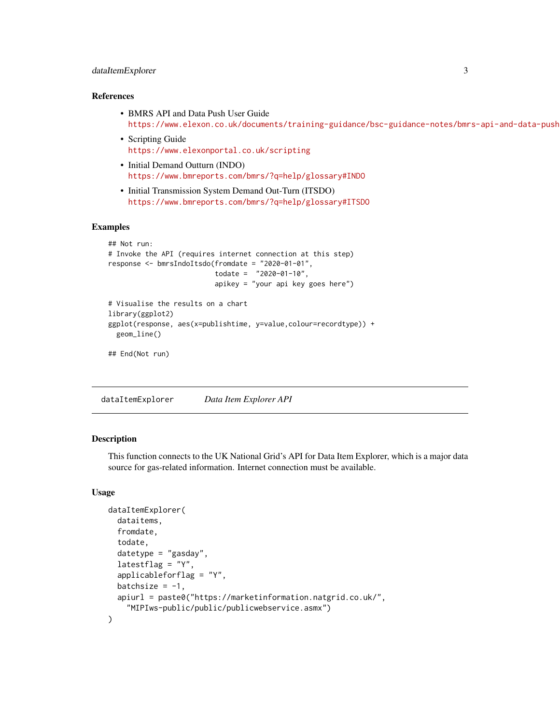#### <span id="page-2-0"></span>dataItemExplorer 3

#### References

- BMRS API and Data Push User Guide https://www.elexon.co.uk/documents/training-guidance/bsc-guidance-notes/bmrs-api-and-data-push
- Scripting Guide <https://www.elexonportal.co.uk/scripting>
- Initial Demand Outturn (INDO) <https://www.bmreports.com/bmrs/?q=help/glossary#INDO>
- Initial Transmission System Demand Out-Turn (ITSDO) <https://www.bmreports.com/bmrs/?q=help/glossary#ITSDO>

#### Examples

```
## Not run:
# Invoke the API (requires internet connection at this step)
response <- bmrsIndoItsdo(fromdate = "2020-01-01",
                          todate = "2020-01-10",apikey = "your api key goes here")
# Visualise the results on a chart
library(ggplot2)
ggplot(response, aes(x=publishtime, y=value,colour=recordtype)) +
 geom_line()
```
## End(Not run)

dataItemExplorer *Data Item Explorer API*

#### **Description**

This function connects to the UK National Grid's API for Data Item Explorer, which is a major data source for gas-related information. Internet connection must be available.

#### Usage

```
dataItemExplorer(
  dataitems,
  fromdate,
  todate,
  datetype = "gasday",
  latestflag = "Y",applicableforflag = "Y",
 batchsize = -1,
  apiurl = paste0("https://marketinformation.natgrid.co.uk/",
    "MIPIws-public/public/publicwebservice.asmx")
)
```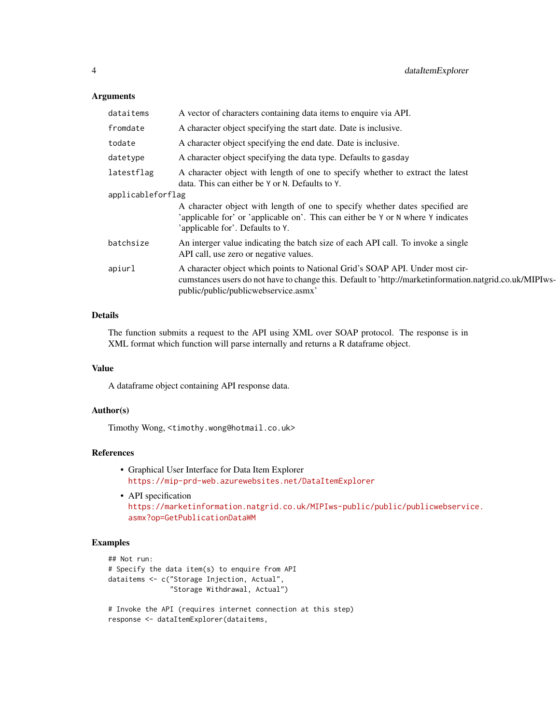#### Arguments

| dataitems         | A vector of characters containing data items to enquire via API.                                                                                                                                                                |
|-------------------|---------------------------------------------------------------------------------------------------------------------------------------------------------------------------------------------------------------------------------|
| fromdate          | A character object specifying the start date. Date is inclusive.                                                                                                                                                                |
| todate            | A character object specifying the end date. Date is inclusive.                                                                                                                                                                  |
| datetype          | A character object specifying the data type. Defaults to gasday                                                                                                                                                                 |
| latestflag        | A character object with length of one to specify whether to extract the latest<br>data. This can either be Y or N. Defaults to Y.                                                                                               |
| applicableforflag |                                                                                                                                                                                                                                 |
|                   | A character object with length of one to specify whether dates specified are<br>'applicable for' or 'applicable on'. This can either be Y or N where Y indicates<br>'applicable for'. Defaults to Y.                            |
| batchsize         | An interger value indicating the batch size of each API call. To invoke a single<br>API call, use zero or negative values.                                                                                                      |
| apiurl            | A character object which points to National Grid's SOAP API. Under most cir-<br>cumstances users do not have to change this. Default to 'http://marketinformation.natgrid.co.uk/MIPIws-<br>public/public/publicwebservice.asmx' |

#### Details

The function submits a request to the API using XML over SOAP protocol. The response is in XML format which function will parse internally and returns a R dataframe object.

#### Value

A dataframe object containing API response data.

#### Author(s)

Timothy Wong, <timothy.wong@hotmail.co.uk>

#### References

- Graphical User Interface for Data Item Explorer <https://mip-prd-web.azurewebsites.net/DataItemExplorer>
- API specification [https://marketinformation.natgrid.co.uk/MIPIws-public/public/publicwebservi](https://marketinformation.natgrid.co.uk/MIPIws-public/public/publicwebservice.asmx?op=GetPublicationDataWM)ce. [asmx?op=GetPublicationDataWM](https://marketinformation.natgrid.co.uk/MIPIws-public/public/publicwebservice.asmx?op=GetPublicationDataWM)

#### Examples

```
## Not run:
# Specify the data item(s) to enquire from API
dataitems <- c("Storage Injection, Actual",
               "Storage Withdrawal, Actual")
```

```
# Invoke the API (requires internet connection at this step)
response <- dataItemExplorer(dataitems,
```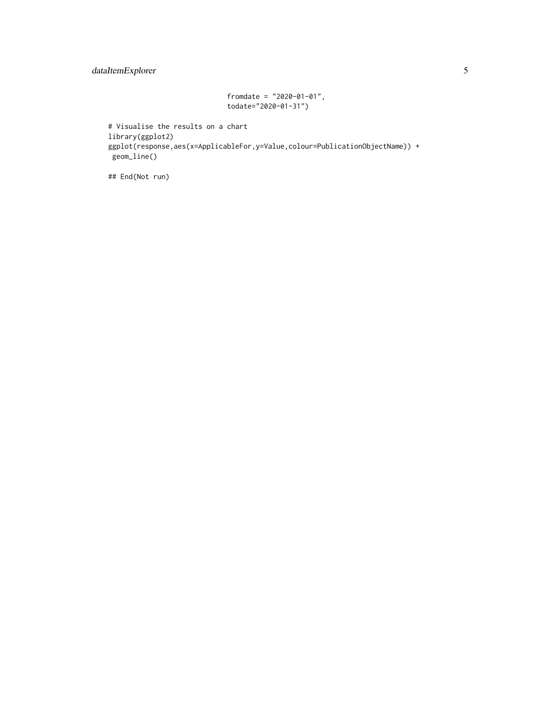#### dataItemExplorer 5

```
fromdate = "2020-01-01",
todate="2020-01-31")
```

```
# Visualise the results on a chart
library(ggplot2)
ggplot(response,aes(x=ApplicableFor,y=Value,colour=PublicationObjectName)) +
geom_line()
```
## End(Not run)